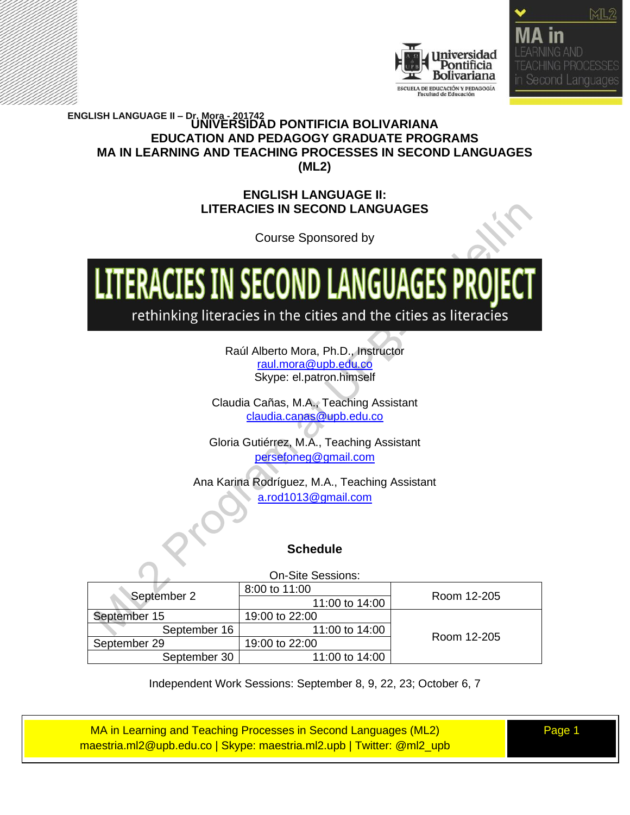



### **ENGLISH LANGUAGE II – Dr. Mora - 201742 UNIVERSIDAD PONTIFICIA BOLIVARIANA EDUCATION AND PEDAGOGY GRADUATE PROGRAMS MA IN LEARNING AND TEACHING PROCESSES IN SECOND LANGUAGES (ML2)**

#### **ENGLISH LANGUAGE II: LITERACIES IN SECOND LANGUAGES**

Course Sponsored by

# **LITERACIES IN SECOND LANGUAGES PROJEC** rethinking literacies in the cities and the cities as literacies

Raúl Alberto Mora, Ph.D., Instructor [raul.mora@upb.edu.co](mailto:raul.mora@upb.edu.co) Skype: el.patron.himself

Claudia Cañas, M.A., Teaching Assistant [claudia.canas@upb.edu.co](mailto:claudia.canas@upb.edu.co)

Gloria Gutiérrez, M.A., Teaching Assistant [persefoneg@gmail.com](mailto:persefoneg@gmail.com)

Ana Karina Rodríguez, M.A., Teaching Assistant [a.rod1013@gmail.com](mailto:a.rod1013@gmail.com)

### **Schedule**

On-Site Sessions:

| September 2  | 8:00 to 11:00  | Room 12-205 |
|--------------|----------------|-------------|
|              | 11:00 to 14:00 |             |
| September 15 | 19:00 to 22:00 |             |
| September 16 | 11:00 to 14:00 | Room 12-205 |
| September 29 | 19:00 to 22:00 |             |
| September 30 | 11:00 to 14:00 |             |

Independent Work Sessions: September 8, 9, 22, 23; October 6, 7

MA in Learning and Teaching Processes in Second Languages (ML2) maestria.ml2@upb.edu.co | Skype: maestria.ml2.upb | Twitter: @ml2\_upb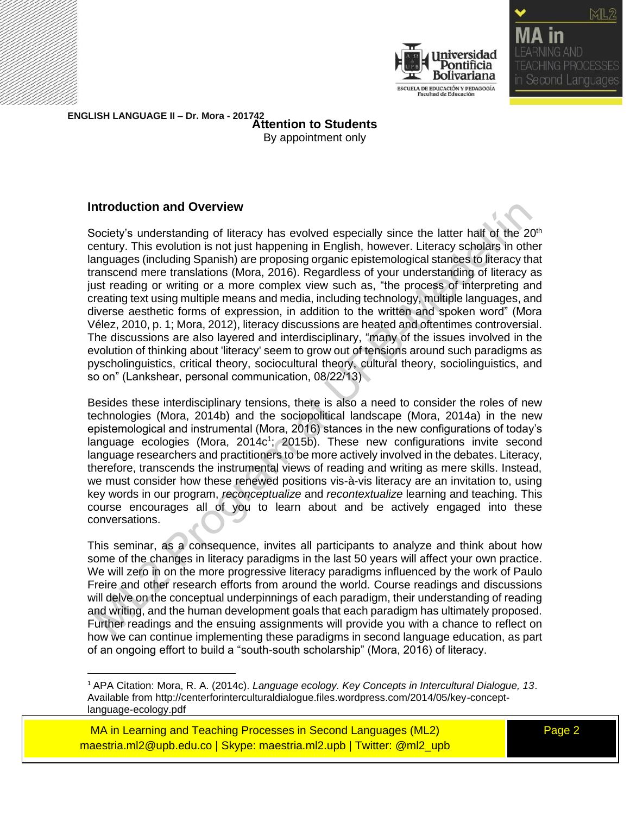

EACHING PROCESSE in Second Language

**ENGLISH LANGUAGE II – Dr. Mora - 201742 Attention to Students** By appointment only

#### **Introduction and Overview**

Society's understanding of literacy has evolved especially since the latter half of the 20<sup>th</sup> century. This evolution is not just happening in English, however. Literacy scholars in other languages (including Spanish) are proposing organic epistemological stances to literacy that transcend mere translations (Mora, 2016). Regardless of your understanding of literacy as just reading or writing or a more complex view such as, "the process of interpreting and creating text using multiple means and media, including technology, multiple languages, and diverse aesthetic forms of expression, in addition to the written and spoken word" (Mora Vélez, 2010, p. 1; Mora, 2012), literacy discussions are heated and oftentimes controversial. The discussions are also layered and interdisciplinary, "many of the issues involved in the evolution of thinking about 'literacy' seem to grow out of tensions around such paradigms as pyscholinguistics, critical theory, sociocultural theory, cultural theory, sociolinguistics, and so on" (Lankshear, personal communication, 08/22/13)

Besides these interdisciplinary tensions, there is also a need to consider the roles of new technologies (Mora, 2014b) and the sociopolitical landscape (Mora, 2014a) in the new epistemological and instrumental (Mora, 2016) stances in the new configurations of today's language ecologies (Mora, 2014c<sup>1</sup>; 2015b). These new configurations invite second language researchers and practitioners to be more actively involved in the debates. Literacy, therefore, transcends the instrumental views of reading and writing as mere skills. Instead, we must consider how these renewed positions vis-à-vis literacy are an invitation to, using key words in our program, *reconceptualize* and *recontextualize* learning and teaching. This course encourages all of you to learn about and be actively engaged into these conversations.

This seminar, as a consequence, invites all participants to analyze and think about how some of the changes in literacy paradigms in the last 50 years will affect your own practice. We will zero in on the more progressive literacy paradigms influenced by the work of Paulo Freire and other research efforts from around the world. Course readings and discussions will delve on the conceptual underpinnings of each paradigm, their understanding of reading and writing, and the human development goals that each paradigm has ultimately proposed. Further readings and the ensuing assignments will provide you with a chance to reflect on how we can continue implementing these paradigms in second language education, as part of an ongoing effort to build a "south-south scholarship" (Mora, 2016) of literacy.

<sup>1</sup> APA Citation: Mora, R. A. (2014c). *Language ecology. Key Concepts in Intercultural Dialogue, 13*. Available from http://centerforinterculturaldialogue.files.wordpress.com/2014/05/key-conceptlanguage-ecology.pdf

MA in Learning and Teaching Processes in Second Languages (ML2) maestria.ml2@upb.edu.co | Skype: maestria.ml2.upb | Twitter: @ml2\_upb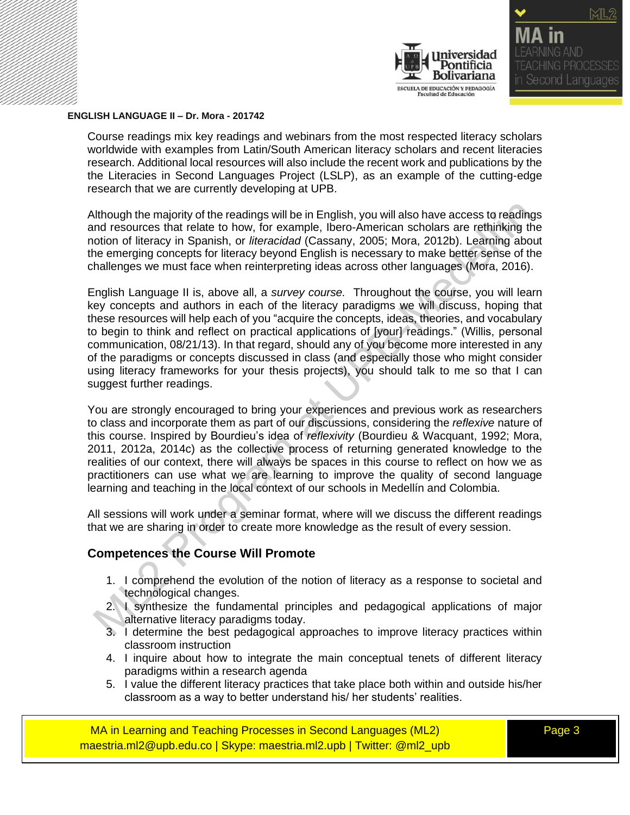



#### **ENGLISH LANGUAGE II – Dr. Mora - 201742**

Course readings mix key readings and webinars from the most respected literacy scholars worldwide with examples from Latin/South American literacy scholars and recent literacies research. Additional local resources will also include the recent work and publications by the the Literacies in Second Languages Project (LSLP), as an example of the cutting-edge research that we are currently developing at UPB.

Although the majority of the readings will be in English, you will also have access to readings and resources that relate to how, for example, Ibero-American scholars are rethinking the notion of literacy in Spanish, or *literacidad* (Cassany, 2005; Mora, 2012b). Learning about the emerging concepts for literacy beyond English is necessary to make better sense of the challenges we must face when reinterpreting ideas across other languages (Mora, 2016).

English Language II is, above all, a *survey course.* Throughout the course, you will learn key concepts and authors in each of the literacy paradigms we will discuss, hoping that these resources will help each of you "acquire the concepts, ideas, theories, and vocabulary to begin to think and reflect on practical applications of [your] readings." (Willis, personal communication, 08/21/13). In that regard, should any of you become more interested in any of the paradigms or concepts discussed in class (and especially those who might consider using literacy frameworks for your thesis projects), you should talk to me so that I can suggest further readings.

You are strongly encouraged to bring your experiences and previous work as researchers to class and incorporate them as part of our discussions, considering the *reflexive* nature of this course. Inspired by Bourdieu's idea of *reflexivity* (Bourdieu & Wacquant, 1992; Mora, 2011, 2012a, 2014c) as the collective process of returning generated knowledge to the realities of our context, there will always be spaces in this course to reflect on how we as practitioners can use what we are learning to improve the quality of second language learning and teaching in the local context of our schools in Medellín and Colombia.

All sessions will work under a seminar format, where will we discuss the different readings that we are sharing in order to create more knowledge as the result of every session.

#### **Competences the Course Will Promote**

- 1. I comprehend the evolution of the notion of literacy as a response to societal and technological changes.
- 2. I synthesize the fundamental principles and pedagogical applications of major alternative literacy paradigms today.
- 3. I determine the best pedagogical approaches to improve literacy practices within classroom instruction
- 4. I inquire about how to integrate the main conceptual tenets of different literacy paradigms within a research agenda
- 5. I value the different literacy practices that take place both within and outside his/her classroom as a way to better understand his/ her students' realities.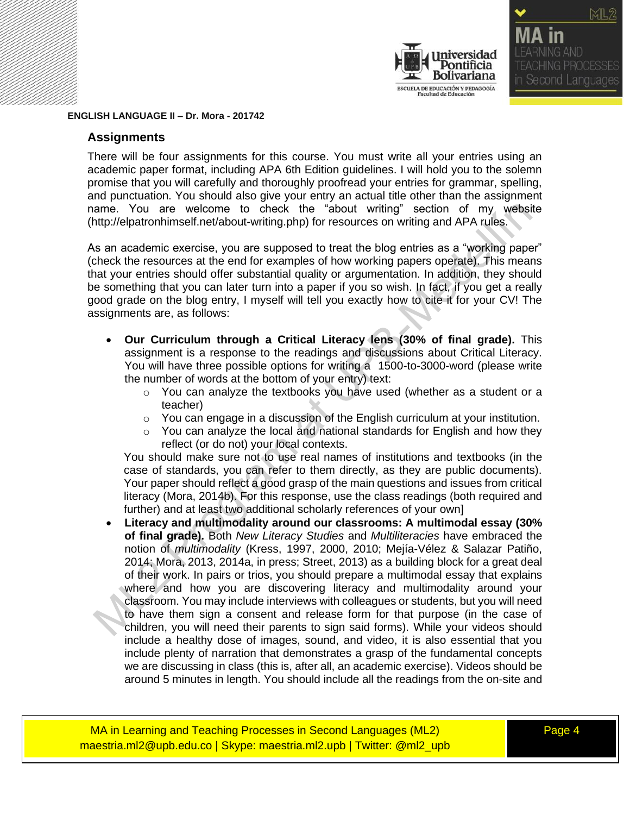



#### **ENGLISH LANGUAGE II – Dr. Mora - 201742**

#### **Assignments**

There will be four assignments for this course. You must write all your entries using an academic paper format, including APA 6th Edition guidelines. I will hold you to the solemn promise that you will carefully and thoroughly proofread your entries for grammar, spelling, and punctuation. You should also give your entry an actual title other than the assignment name. You are welcome to check the "about writing" section of my website (http://elpatronhimself.net/about-writing.php) for resources on writing and APA rules.

As an academic exercise, you are supposed to treat the blog entries as a "working paper" (check the resources at the end for examples of how working papers operate). This means that your entries should offer substantial quality or argumentation. In addition, they should be something that you can later turn into a paper if you so wish. In fact, if you get a really good grade on the blog entry, I myself will tell you exactly how to cite it for your CV! The assignments are, as follows:

- **Our Curriculum through a Critical Literacy lens (30% of final grade).** This assignment is a response to the readings and discussions about Critical Literacy. You will have three possible options for writing a 1500-to-3000-word (please write the number of words at the bottom of your entry) text:
	- $\circ$  You can analyze the textbooks you have used (whether as a student or a teacher)
	- $\circ$  You can engage in a discussion of the English curriculum at your institution.
	- $\circ$  You can analyze the local and national standards for English and how they reflect (or do not) your local contexts.

You should make sure not to use real names of institutions and textbooks (in the case of standards, you can refer to them directly, as they are public documents). Your paper should reflect a good grasp of the main questions and issues from critical literacy (Mora, 2014b). For this response, use the class readings (both required and further) and at least two additional scholarly references of your own]

• **Literacy and multimodality around our classrooms: A multimodal essay (30% of final grade).** Both *New Literacy Studies* and *Multiliteracies* have embraced the notion of *multimodality* (Kress, 1997, 2000, 2010; Mejía-Vélez & Salazar Patiño, 2014; Mora, 2013, 2014a, in press; Street, 2013) as a building block for a great deal of their work. In pairs or trios, you should prepare a multimodal essay that explains where and how you are discovering literacy and multimodality around your classroom. You may include interviews with colleagues or students, but you will need to have them sign a consent and release form for that purpose (in the case of children, you will need their parents to sign said forms). While your videos should include a healthy dose of images, sound, and video, it is also essential that you include plenty of narration that demonstrates a grasp of the fundamental concepts we are discussing in class (this is, after all, an academic exercise). Videos should be around 5 minutes in length. You should include all the readings from the on-site and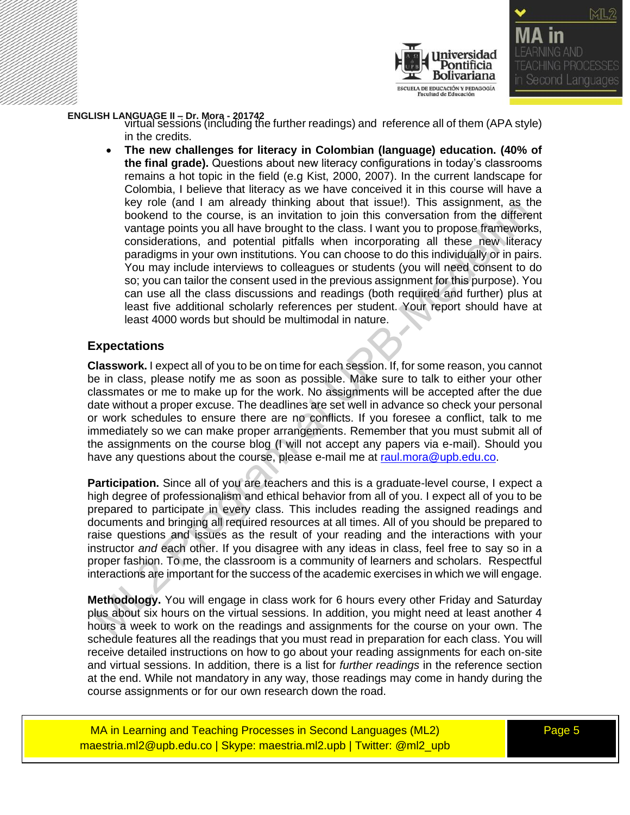



- **ENGLISH LANGUAGE II – Dr. Mora - 201742** virtual sessions (including the further readings) and reference all of them (APA style) in the credits.
	- **The new challenges for literacy in Colombian (language) education. (40% of the final grade).** Questions about new literacy configurations in today's classrooms remains a hot topic in the field (e.g Kist, 2000, 2007). In the current landscape for Colombia, I believe that literacy as we have conceived it in this course will have a key role (and I am already thinking about that issue!). This assignment, as the bookend to the course, is an invitation to join this conversation from the different vantage points you all have brought to the class. I want you to propose frameworks, considerations, and potential pitfalls when incorporating all these new literacy paradigms in your own institutions. You can choose to do this individually or in pairs. You may include interviews to colleagues or students (you will need consent to do so; you can tailor the consent used in the previous assignment for this purpose). You can use all the class discussions and readings (both required and further) plus at least five additional scholarly references per student. Your report should have at least 4000 words but should be multimodal in nature.

#### **Expectations**

**Classwork.** I expect all of you to be on time for each session. If, for some reason, you cannot be in class, please notify me as soon as possible. Make sure to talk to either your other classmates or me to make up for the work. No assignments will be accepted after the due date without a proper excuse. The deadlines are set well in advance so check your personal or work schedules to ensure there are no conflicts. If you foresee a conflict, talk to me immediately so we can make proper arrangements. Remember that you must submit all of the assignments on the course blog (I will not accept any papers via e-mail). Should you have any questions about the course, please e-mail me at [raul.mora@upb.edu.co.](mailto:raul.mora@upb.edu.co)

**Participation.** Since all of you are teachers and this is a graduate-level course, I expect a high degree of professionalism and ethical behavior from all of you. I expect all of you to be prepared to participate in every class. This includes reading the assigned readings and documents and bringing all required resources at all times. All of you should be prepared to raise questions and issues as the result of your reading and the interactions with your instructor *and* each other. If you disagree with any ideas in class, feel free to say so in a proper fashion. To me, the classroom is a community of learners and scholars. Respectful interactions are important for the success of the academic exercises in which we will engage.

**Methodology.** You will engage in class work for 6 hours every other Friday and Saturday plus about six hours on the virtual sessions. In addition, you might need at least another 4 hours a week to work on the readings and assignments for the course on your own. The schedule features all the readings that you must read in preparation for each class. You will receive detailed instructions on how to go about your reading assignments for each on-site and virtual sessions. In addition, there is a list for *further readings* in the reference section at the end. While not mandatory in any way, those readings may come in handy during the course assignments or for our own research down the road.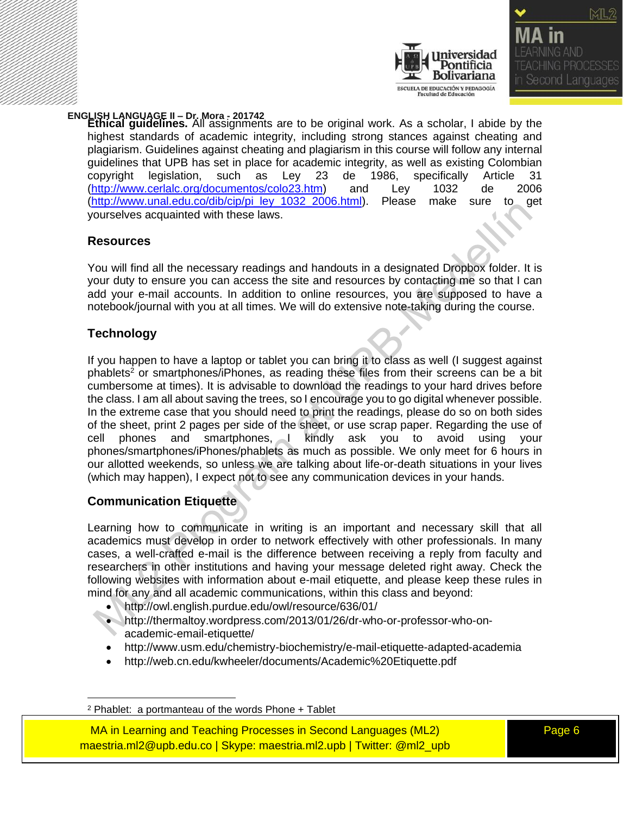

**ENGLISH LANGUAGE II – Dr. Mora - 201742 Ethical guidelines.** All assignments are to be original work. As a scholar, I abide by the highest standards of academic integrity, including strong stances against cheating and plagiarism. Guidelines against cheating and plagiarism in this course will follow any internal guidelines that UPB has set in place for academic integrity, as well as existing Colombian copyright legislation, such as Ley 23 de 1986, specifically Article 31 [\(http://www.cerlalc.org/documentos/colo23.htm\)](http://www.cerlalc.org/documentos/colo23.htm) and Ley 1032 de 2006 [\(http://www.unal.edu.co/dib/cip/pi\\_ley\\_1032\\_2006.html\)](http://www.unal.edu.co/dib/cip/pi_ley_1032_2006.html). Please make sure to get yourselves acquainted with these laws.

### **Resources**

You will find all the necessary readings and handouts in a designated Dropbox folder. It is your duty to ensure you can access the site and resources by contacting me so that I can add your e-mail accounts. In addition to online resources, you are supposed to have a notebook/journal with you at all times. We will do extensive note-taking during the course.

## **Technology**

If you happen to have a laptop or tablet you can bring it to class as well (I suggest against phablets<sup>2</sup> or smartphones/iPhones, as reading these files from their screens can be a bit cumbersome at times). It is advisable to download the readings to your hard drives before the class. I am all about saving the trees, so I encourage you to go digital whenever possible. In the extreme case that you should need to print the readings, please do so on both sides of the sheet, print 2 pages per side of the sheet, or use scrap paper. Regarding the use of cell phones and smartphones, I kindly ask you to avoid using your phones/smartphones/iPhones/phablets as much as possible. We only meet for 6 hours in our allotted weekends, so unless we are talking about life-or-death situations in your lives (which may happen), I expect not to see any communication devices in your hands.

#### **Communication Etiquette**

Learning how to communicate in writing is an important and necessary skill that all academics must develop in order to network effectively with other professionals. In many cases, a well-crafted e-mail is the difference between receiving a reply from faculty and researchers in other institutions and having your message deleted right away. Check the following websites with information about e-mail etiquette, and please keep these rules in mind for any and all academic communications, within this class and beyond:

- <http://owl.english.purdue.edu/owl/resource/636/01/>
- [http://thermaltoy.wordpress.com/2013/01/26/dr-who-or-professor-who-on](http://thermaltoy.wordpress.com/2013/01/26/dr-who-or-professor-who-on-academic-email-etiquette/)[academic-email-etiquette/](http://thermaltoy.wordpress.com/2013/01/26/dr-who-or-professor-who-on-academic-email-etiquette/)
- <http://www.usm.edu/chemistry-biochemistry/e-mail-etiquette-adapted-academia>
- <http://web.cn.edu/kwheeler/documents/Academic%20Etiquette.pdf>

 $2$  Phablet: a portmanteau of the words Phone  $+$  Tablet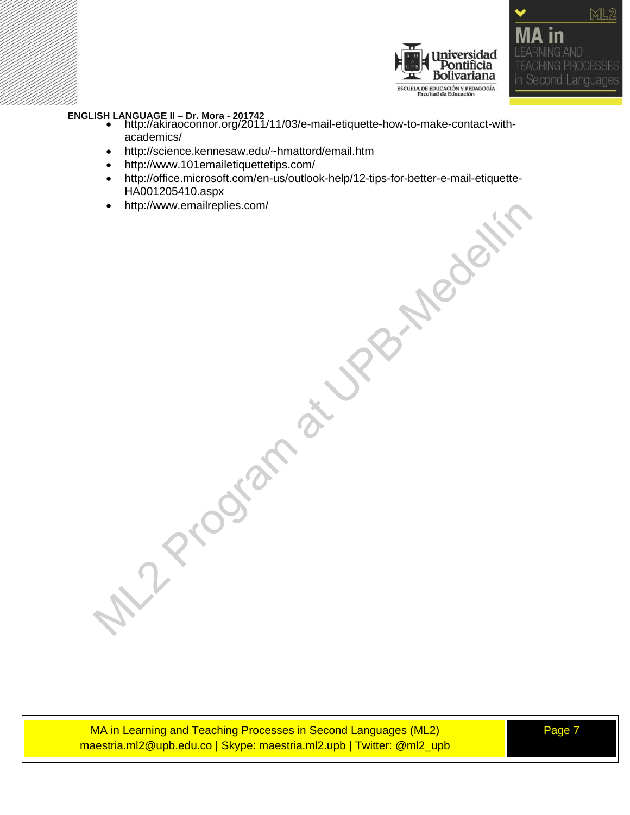



- **ENGLISH LANGUAGE II – Dr. Mora - 201742** http://akiraoconnor.org/2011/11/03/e-mail-etiquette-how-to-make-contact-withacademics/
	- http://science.kennesaw.edu/~hmattord/email.htm
	- http://www.101emailetiquettetips.com/
	- http://office.microsoft.com/en-us/outlook-help/12-tips-for-better-e-mail-etiquette-HA001205410.aspx
	- http://www.emailreplies.com/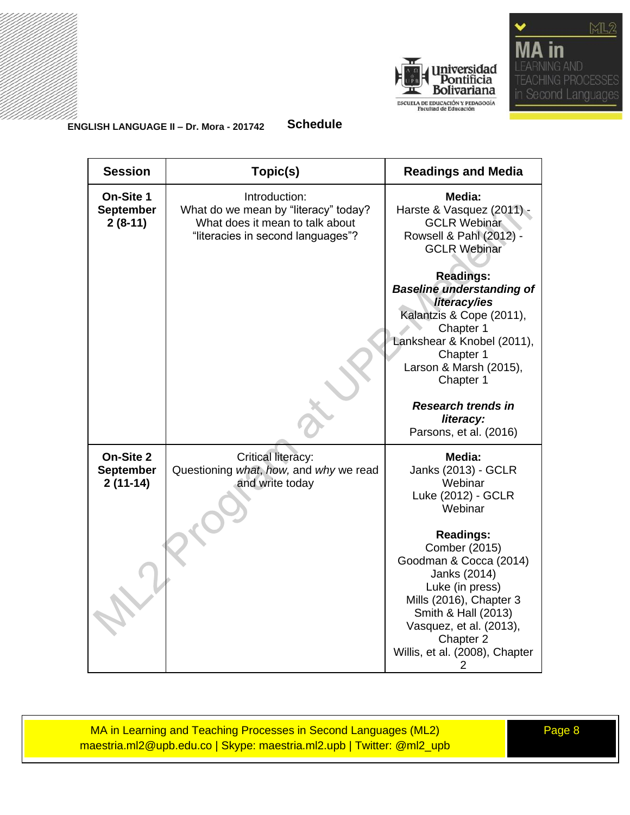



**ENGLISH LANGUAGE II – Dr. Mora - 201742 Schedule**

| <b>Session</b>                              | Topic(s)                                                                                                                      | <b>Readings and Media</b>                                                                                                                                                                                                                                                                                       |
|---------------------------------------------|-------------------------------------------------------------------------------------------------------------------------------|-----------------------------------------------------------------------------------------------------------------------------------------------------------------------------------------------------------------------------------------------------------------------------------------------------------------|
| On-Site 1<br><b>September</b><br>$2(8-11)$  | Introduction:<br>What do we mean by "literacy" today?<br>What does it mean to talk about<br>"literacies in second languages"? | Media:<br>Harste & Vasquez (2011) -<br><b>GCLR Webinar</b><br>Rowsell & Pahl (2012) -<br><b>GCLR Webinar</b><br><b>Readings:</b><br><b>Baseline understanding of</b><br>literacy/ies<br>Kalantzis & Cope (2011),<br>Chapter 1<br>Lankshear & Knobel (2011),<br>Chapter 1<br>Larson & Marsh (2015),<br>Chapter 1 |
|                                             |                                                                                                                               | <b>Research trends in</b><br>literacy:<br>Parsons, et al. (2016)                                                                                                                                                                                                                                                |
| On-Site 2<br><b>September</b><br>$2(11-14)$ | Critical literacy:<br>Questioning what, how, and why we read<br>and write today                                               | Media:<br>Janks (2013) - GCLR<br>Webinar<br>Luke (2012) - GCLR<br>Webinar                                                                                                                                                                                                                                       |
|                                             |                                                                                                                               | <b>Readings:</b><br>Comber (2015)<br>Goodman & Cocca (2014)<br>Janks (2014)<br>Luke (in press)<br>Mills (2016), Chapter 3<br>Smith & Hall (2013)<br>Vasquez, et al. (2013),<br>Chapter 2<br>Willis, et al. (2008), Chapter<br>2                                                                                 |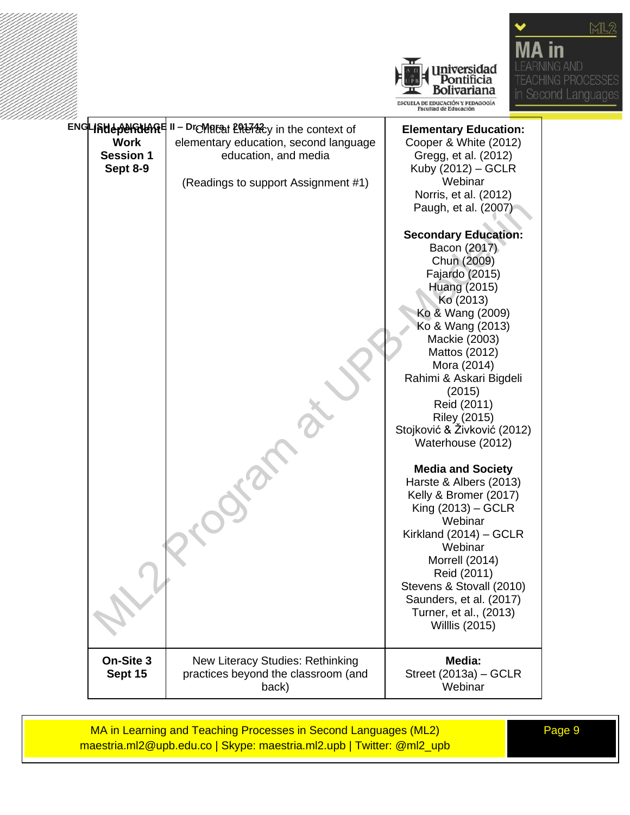

 $ML2$  $\overline{\mathbf{A}}$ in LEARNING AND<br>TEACHING PROCESSES in Second Languages

| Work<br><b>Session 1</b><br><b>Sept 8-9</b> | ENGLIAU behalen II - DrcMateat Lateracy in the context of<br>elementary education, second language<br>education, and media<br>(Readings to support Assignment #1) | <b>Elementary Education:</b><br>Cooper & White (2012)<br>Gregg, et al. (2012)<br>Kuby (2012) – GCLR<br>Webinar<br>Norris, et al. (2012)<br>Paugh, et al. (2007)<br><b>Secondary Education:</b><br>Bacon (2017)<br>Chun (2009)<br>Fajardo (2015)<br>Huang (2015)<br>Ko (2013)<br>Ko & Wang (2009)<br>Ko & Wang (2013)<br>Mackie (2003)<br>Mattos (2012)<br>Mora (2014)<br>Rahimi & Askari Bigdeli<br>(2015)<br>Reid (2011)<br><b>Riley (2015)</b><br>Stojković & Živković (2012)<br>Waterhouse (2012)<br><b>Media and Society</b><br>Harste & Albers (2013)<br>Kelly & Bromer (2017)<br>King $(2013)$ – GCLR<br>Webinar<br>Kirkland $(2014)$ – GCLR<br>Webinar<br>Morrell (2014)<br>Reid (2011)<br>Stevens & Stovall (2010)<br>Saunders, et al. (2017)<br>Turner, et al., (2013)<br><b>Willis (2015)</b> |
|---------------------------------------------|-------------------------------------------------------------------------------------------------------------------------------------------------------------------|---------------------------------------------------------------------------------------------------------------------------------------------------------------------------------------------------------------------------------------------------------------------------------------------------------------------------------------------------------------------------------------------------------------------------------------------------------------------------------------------------------------------------------------------------------------------------------------------------------------------------------------------------------------------------------------------------------------------------------------------------------------------------------------------------------|
| On-Site 3<br>Sept 15                        | New Literacy Studies: Rethinking<br>practices beyond the classroom (and<br>back)                                                                                  | Media:<br>Street (2013a) - GCLR<br>Webinar                                                                                                                                                                                                                                                                                                                                                                                                                                                                                                                                                                                                                                                                                                                                                              |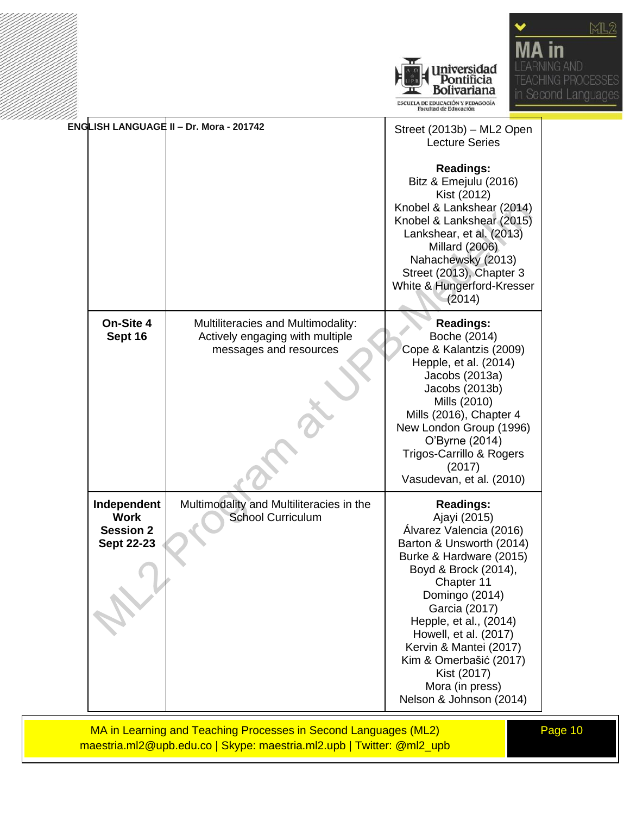



|                                                                     | ENGLISH LANGUAGE II - Dr. Mora - 201742                                                         | Street (2013b) - ML2 Open<br><b>Lecture Series</b>                                                                                                                                                                                                                                                                                                              |
|---------------------------------------------------------------------|-------------------------------------------------------------------------------------------------|-----------------------------------------------------------------------------------------------------------------------------------------------------------------------------------------------------------------------------------------------------------------------------------------------------------------------------------------------------------------|
|                                                                     |                                                                                                 | <b>Readings:</b><br>Bitz & Emejulu (2016)<br>Kist (2012)<br>Knobel & Lankshear (2014)<br>Knobel & Lankshear (2015)<br>Lankshear, et al. (2013)<br><b>Millard (2006)</b><br>Nahachewsky (2013)<br>Street (2013), Chapter 3<br>White & Hungerford-Kresser<br>(2014)                                                                                               |
| On-Site 4<br>Sept 16                                                | Multiliteracies and Multimodality:<br>Actively engaging with multiple<br>messages and resources | <b>Readings:</b><br>Boche (2014)<br>Cope & Kalantzis (2009)<br>Hepple, et al. (2014)<br>Jacobs (2013a)<br>Jacobs (2013b)<br>Mills (2010)<br>Mills (2016), Chapter 4<br>New London Group (1996)<br>O'Byrne (2014)<br>Trigos-Carrillo & Rogers<br>(2017)<br>Vasudevan, et al. (2010)                                                                              |
| Independent<br><b>Work</b><br><b>Session 2</b><br><b>Sept 22-23</b> | Multimodality and Multiliteracies in the<br><b>School Curriculum</b>                            | <b>Readings:</b><br>Ajayi (2015)<br>Álvarez Valencia (2016)<br>Barton & Unsworth (2014)<br>Burke & Hardware (2015)<br>Boyd & Brock (2014),<br>Chapter 11<br>Domingo (2014)<br>Garcia (2017)<br>Hepple, et al., (2014)<br>Howell, et al. (2017)<br>Kervin & Mantei (2017)<br>Kim & Omerbašić (2017)<br>Kist (2017)<br>Mora (in press)<br>Nelson & Johnson (2014) |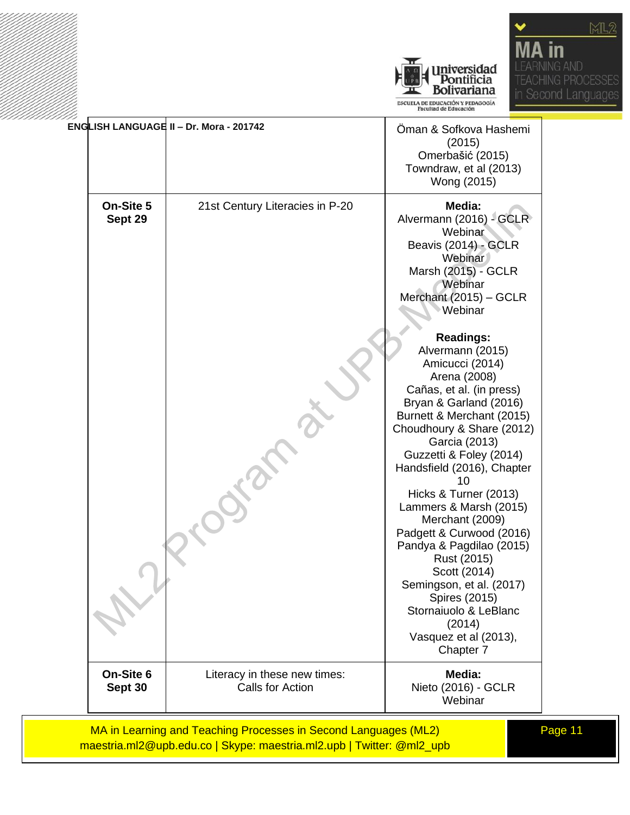



|                      | ENGLISH LANGUAGE II - Dr. Mora - 201742          | Öman & Sofkova Hashemi<br>(2015)<br>Omerbašić (2015)<br>Towndraw, et al (2013)<br>Wong (2015)                                                                                                                                                            |
|----------------------|--------------------------------------------------|----------------------------------------------------------------------------------------------------------------------------------------------------------------------------------------------------------------------------------------------------------|
| On-Site 5<br>Sept 29 | 21st Century Literacies in P-20                  | Media:<br>Alvermann (2016) - GCLR<br>Webinar<br><b>Beavis (2014) - GCLR</b><br>Webinar<br>Marsh (2015) - GCLR<br>Webinar<br>Merchant (2015) - GCLR<br>Webinar<br><b>Readings:</b><br>Alvermann (2015)                                                    |
|                      |                                                  | Amicucci (2014)<br>Arena (2008)<br>Cañas, et al. (in press)<br>Bryan & Garland (2016)<br>Burnett & Merchant (2015)<br>Choudhoury & Share (2012)<br>Garcia (2013)<br>Guzzetti & Foley (2014)<br>Handsfield (2016), Chapter<br>10<br>Hicks & Turner (2013) |
|                      |                                                  | Lammers & Marsh (2015)<br>Merchant (2009)<br>Padgett & Curwood (2016)<br>Pandya & Pagdilao (2015)<br>Rust (2015)<br>Scott (2014)<br>Semingson, et al. (2017)<br>Spires (2015)<br>Stornaiuolo & LeBlanc<br>(2014)<br>Vasquez et al (2013),<br>Chapter 7   |
| On-Site 6<br>Sept 30 | Literacy in these new times:<br>Calls for Action | Media:<br>Nieto (2016) - GCLR<br>Webinar                                                                                                                                                                                                                 |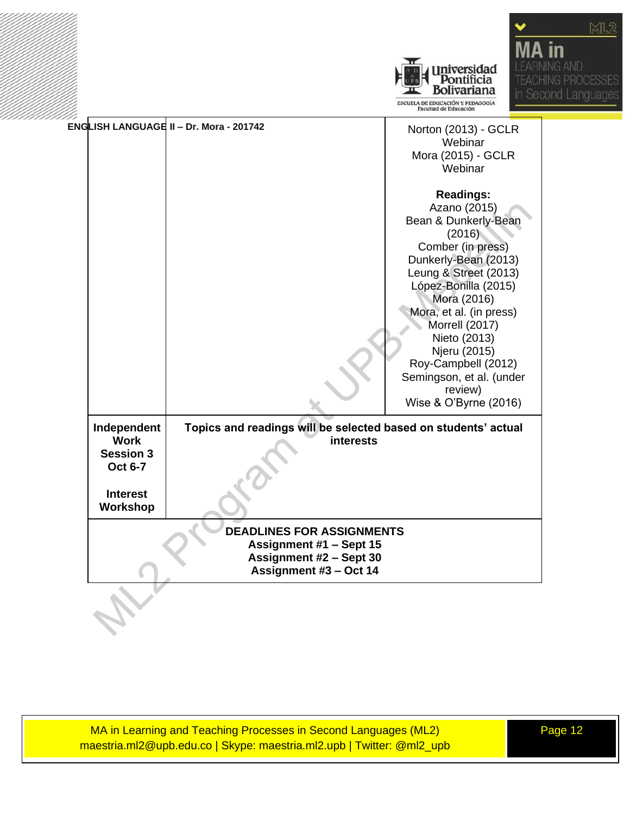



|                                                                                                 | ENGLISH LANGUAGE II - Dr. Mora - 201742                                                                                                           | Norton (2013) - GCLR<br>Webinar<br>Mora (2015) - GCLR<br>Webinar<br><b>Readings:</b><br>Azano (2015)<br>Bean & Dunkerly-Bean<br>(2016)<br>Comber (in press)<br>Dunkerly-Bean (2013)<br>Leung & Street (2013)<br>López-Bonilla (2015)<br>Mora (2016)<br>Mora, et al. (in press)<br>Morrell (2017)<br>Nieto (2013)<br>Njeru (2015)<br>Roy-Campbell (2012)<br>Semingson, et al. (under |
|-------------------------------------------------------------------------------------------------|---------------------------------------------------------------------------------------------------------------------------------------------------|-------------------------------------------------------------------------------------------------------------------------------------------------------------------------------------------------------------------------------------------------------------------------------------------------------------------------------------------------------------------------------------|
| Independent<br><b>Work</b><br><b>Session 3</b><br><b>Oct 6-7</b><br><b>Interest</b><br>Workshop | Topics and readings will be selected based on students' actual<br>interests<br><b>DEADLINES FOR ASSIGNMENTS</b><br><b>Assignment #1 - Sept 15</b> | review)<br>Wise & O'Byrne (2016)                                                                                                                                                                                                                                                                                                                                                    |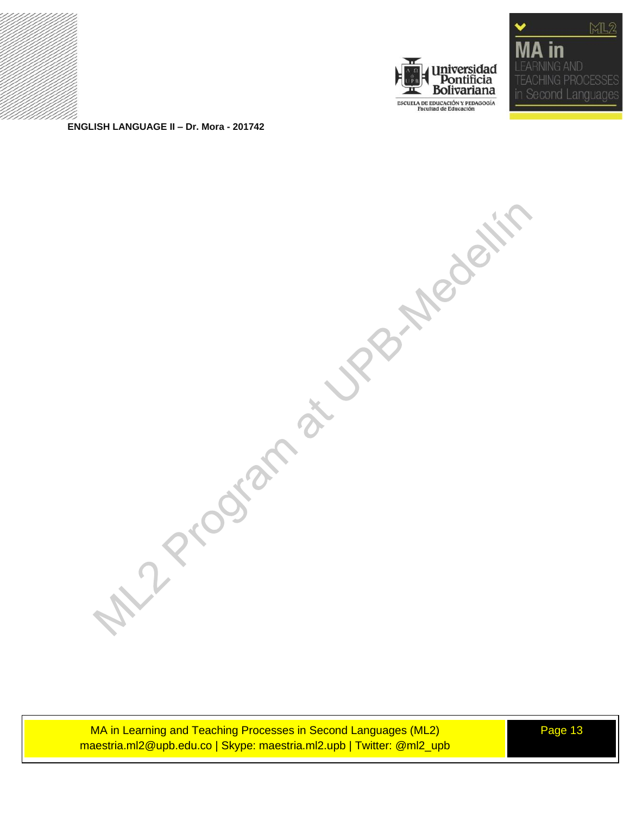



**ENGLISH LANGUAGE II – Dr. Mora - 201742**

M.2 Program at UP B Medelin

MA in Learning and Teaching Processes in Second Languages (ML2) maestria.ml2@upb.edu.co | Skype: maestria.ml2.upb | Twitter: @ml2\_upb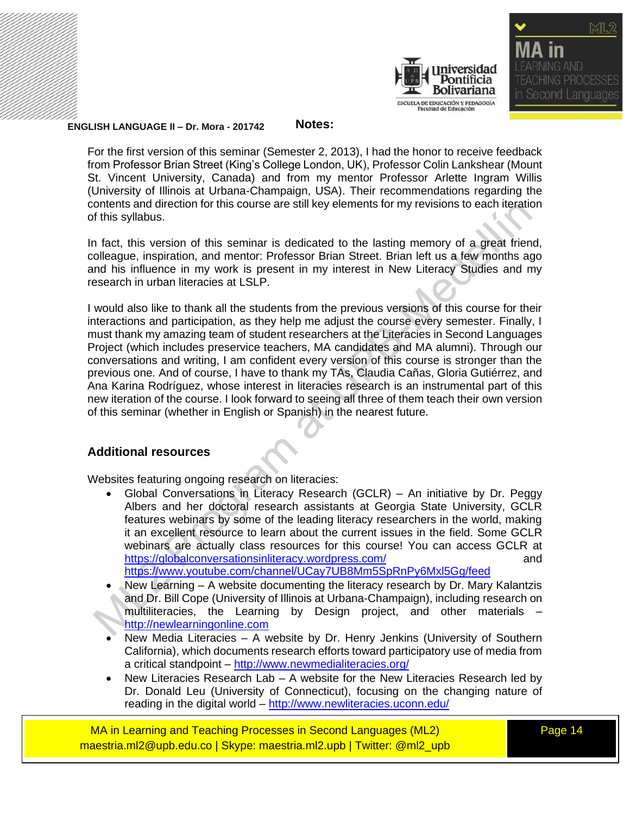



#### **ENGLISH LANGUAGE II – Dr. Mora - 201742 Notes:**

For the first version of this seminar (Semester 2, 2013), I had the honor to receive feedback from Professor Brian Street (King's College London, UK), Professor Colin Lankshear (Mount St. Vincent University, Canada) and from my mentor Professor Arlette Ingram Willis (University of Illinois at Urbana-Champaign, USA). Their recommendations regarding the contents and direction for this course are still key elements for my revisions to each iteration of this syllabus.

In fact, this version of this seminar is dedicated to the lasting memory of a great friend, colleague, inspiration, and mentor: Professor Brian Street. Brian left us a few months ago and his influence in my work is present in my interest in New Literacy Studies and my research in urban literacies at LSLP.

I would also like to thank all the students from the previous versions of this course for their interactions and participation, as they help me adjust the course every semester. Finally, I must thank my amazing team of student researchers at the Literacies in Second Languages Project (which includes preservice teachers, MA candidates and MA alumni). Through our conversations and writing, I am confident every version of this course is stronger than the previous one. And of course, I have to thank my TAs, Claudia Cañas, Gloria Gutiérrez, and Ana Karina Rodríguez, whose interest in literacies research is an instrumental part of this new iteration of the course. I look forward to seeing all three of them teach their own version of this seminar (whether in English or Spanish) in the nearest future.

#### **Additional resources**

Websites featuring ongoing research on literacies:

• Global Conversations in Literacy Research (GCLR) – An initiative by Dr. Peggy Albers and her doctoral research assistants at Georgia State University, GCLR features webinars by some of the leading literacy researchers in the world, making it an excellent resource to learn about the current issues in the field. Some GCLR webinars are actually class resources for this course! You can access GCLR at <https://globalconversationsinliteracy.wordpress.com/> and and <https://www.youtube.com/channel/UCay7UB8Mm5SpRnPy6Mxl5Gg/feed>

• New Learning – A website documenting the literacy research by Dr. Mary Kalantzis and Dr. Bill Cope (University of Illinois at Urbana-Champaign), including research on multiliteracies, the Learning by Design project, and other materials – [http://newlearningonline.com](http://newlearningonline.com/)

- New Media Literacies A website by Dr. Henry Jenkins (University of Southern California), which documents research efforts toward participatory use of media from a critical standpoint – <http://www.newmedialiteracies.org/>
- New Literacies Research Lab A website for the New Literacies Research led by Dr. Donald Leu (University of Connecticut), focusing on the changing nature of reading in the digital world – <http://www.newliteracies.uconn.edu/>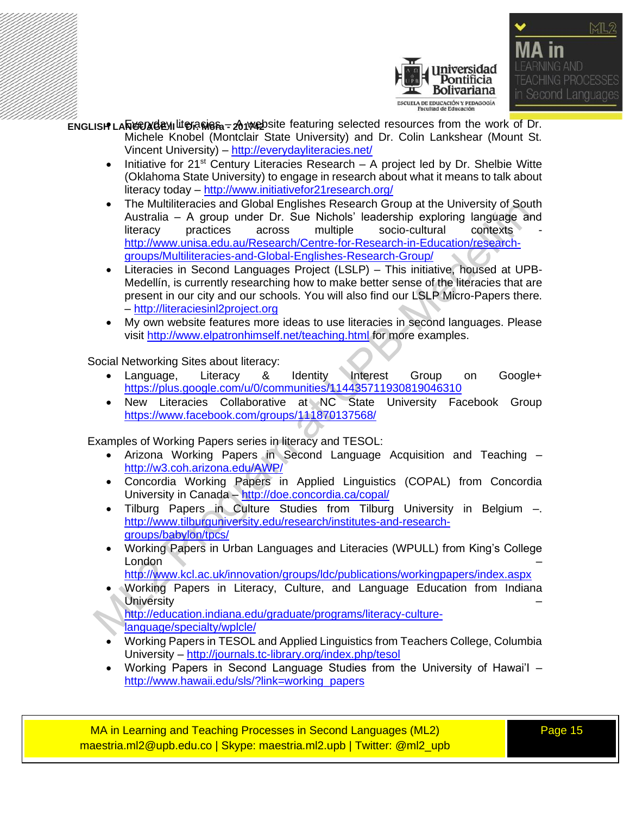



ENGLISH LANGUAGE III LERG NOT - 201742 Site featuring selected resources from the work of Dr. Michele Knobel (Montclair State University) and Dr. Colin Lankshear (Mount St. Vincent University) – <http://everydayliteracies.net/>

- Initiative for 21<sup>st</sup> Century Literacies Research A project led by Dr. Shelbie Witte (Oklahoma State University) to engage in research about what it means to talk about literacy today – <http://www.initiativefor21research.org/>
- The Multiliteracies and Global Englishes Research Group at the University of South Australia – A group under Dr. Sue Nichols' leadership exploring language and literacy practices across multiple socio-cultural contexts [http://www.unisa.edu.au/Research/Centre-for-Research-in-Education/research](http://www.unisa.edu.au/Research/Centre-for-Research-in-Education/research-groups/Multiliteracies-and-Global-Englishes-Research-Group/)[groups/Multiliteracies-and-Global-Englishes-Research-Group/](http://www.unisa.edu.au/Research/Centre-for-Research-in-Education/research-groups/Multiliteracies-and-Global-Englishes-Research-Group/)
- Literacies in Second Languages Project (LSLP) This initiative, housed at UPB-Medellín, is currently researching how to make better sense of the literacies that are present in our city and our schools. You will also find our LSLP Micro-Papers there. – [http://literaciesinl2project.org](http://literaciesinl2project.org/)
- My own website features more ideas to use literacies in second languages. Please visit<http://www.elpatronhimself.net/teaching.html> for more examples.

Social Networking Sites about literacy:

- Language, Literacy & Identity Interest Group on Google+ <https://plus.google.com/u/0/communities/114435711930819046310>
- New Literacies Collaborative at NC State University Facebook Group <https://www.facebook.com/groups/111870137568/>

Examples of Working Papers series in literacy and TESOL:

- Arizona Working Papers in Second Language Acquisition and Teaching <http://w3.coh.arizona.edu/AWP/>
- Concordia Working Papers in Applied Linguistics (COPAL) from Concordia University in Canada – <http://doe.concordia.ca/copal/>
- Tilburg Papers in Culture Studies from Tilburg University in Belgium –. [http://www.tilburguniversity.edu/research/institutes-and-research](http://www.tilburguniversity.edu/research/institutes-and-research-groups/babylon/tpcs/)[groups/babylon/tpcs/](http://www.tilburguniversity.edu/research/institutes-and-research-groups/babylon/tpcs/)
- Working Papers in Urban Languages and Literacies (WPULL) from King's College London –

<http://www.kcl.ac.uk/innovation/groups/ldc/publications/workingpapers/index.aspx>

• Working Papers in Literacy, Culture, and Language Education from Indiana **University** 

[http://education.indiana.edu/graduate/programs/literacy-culture](http://education.indiana.edu/graduate/programs/literacy-culture-language/specialty/wplcle/)[language/specialty/wplcle/](http://education.indiana.edu/graduate/programs/literacy-culture-language/specialty/wplcle/)

- Working Papers in TESOL and Applied Linguistics from Teachers College, Columbia University – <http://journals.tc-library.org/index.php/tesol>
- Working Papers in Second Language Studies from the University of Hawai'I [http://www.hawaii.edu/sls/?link=working\\_papers](http://www.hawaii.edu/sls/?link=working_papers)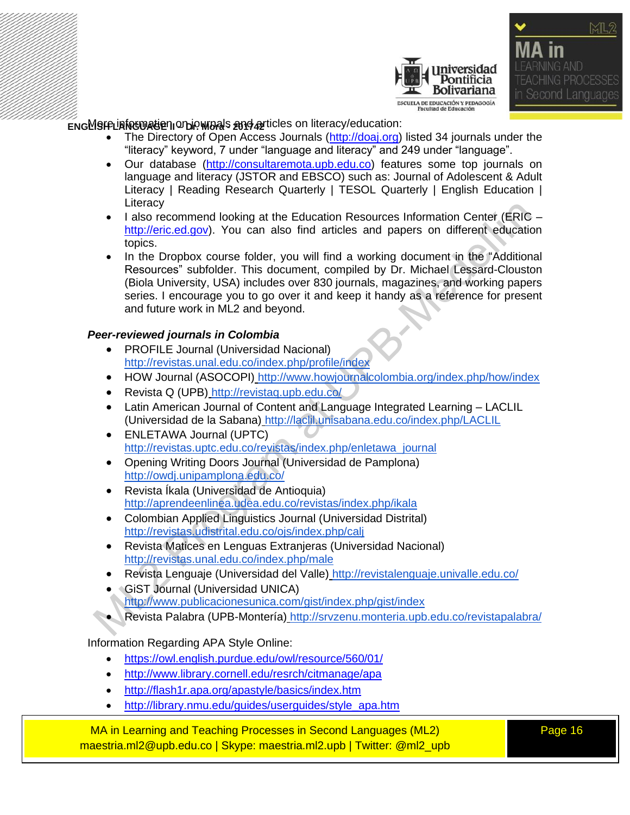



ENG**MSIFLIANGWAGE III ODIOWALS 2019 Articles on literacy/education:** 

- The Directory of Open Access Journals [\(http://doaj.org\)](http://doaj.org/) listed 34 journals under the "literacy" keyword, 7 under "language and literacy" and 249 under "language".
- Our database [\(http://consultaremota.upb.edu.co\)](http://consultaremota.upb.edu.co/) features some top journals on language and literacy (JSTOR and EBSCO) such as: Journal of Adolescent & Adult Literacy | Reading Research Quarterly | TESOL Quarterly | English Education | **Literacy**
- I also recommend looking at the Education Resources Information Center (ERIC [http://eric.ed.gov\)](http://eric.ed.gov/). You can also find articles and papers on different education topics.
- In the Dropbox course folder, you will find a working document in the "Additional Resources" subfolder. This document, compiled by Dr. Michael Lessard-Clouston (Biola University, USA) includes over 830 journals, magazines, and working papers series. I encourage you to go over it and keep it handy as a reference for present and future work in ML2 and beyond.

#### *Peer-reviewed journals in Colombia*

- PROFILE Journal (Universidad Nacional[\)](http://revistas.unal.edu.co/index.php/profile/index) <http://revistas.unal.edu.co/index.php/profile/index>
- HOW Journal (ASOCOPI) <http://www.howjournalcolombia.org/index.php/how/index>
- Revista Q (UPB) <http://revistaq.upb.edu.co/>
- Latin American Journal of Content and Language Integrated Learning LACLIL (Universidad de la Sabana) <http://laclil.unisabana.edu.co/index.php/LACLIL>
- ENLETAWA Journal (UPTC[\)](http://revistas.uptc.edu.co/revistas/index.php/enletawa_journal) [http://revistas.uptc.edu.co/revistas/index.php/enletawa\\_journal](http://revistas.uptc.edu.co/revistas/index.php/enletawa_journal)
- Opening Writing Doors Journal (Universidad de Pamplona[\)](http://owdj.unipamplona.edu.co/) <http://owdj.unipamplona.edu.co/>
- Revista Íkala (Universidad de Antioquia[\)](http://aprendeenlinea.udea.edu.co/revistas/index.php/ikala) <http://aprendeenlinea.udea.edu.co/revistas/index.php/ikala>
- Colombian Applied Linguistics Journal (Universidad Distrital[\)](http://revistas.udistrital.edu.co/ojs/index.php/calj) <http://revistas.udistrital.edu.co/ojs/index.php/calj>
- Revista Matices en Lenguas Extranjeras (Universidad Nacional[\)](http://revistas.unal.edu.co/index.php/male) <http://revistas.unal.edu.co/index.php/male>
- Revista Lenguaje (Universidad del Valle) <http://revistalenguaje.univalle.edu.co/>
- GiST Journal (Universidad UNICA[\)](http://www.publicacionesunica.com/gist/index.php/gist/index) <http://www.publicacionesunica.com/gist/index.php/gist/index>
- Revista Palabra (UPB-Montería) <http://srvzenu.monteria.upb.edu.co/revistapalabra/>

Information Regarding APA Style Online:

- <https://owl.english.purdue.edu/owl/resource/560/01/>
- <http://www.library.cornell.edu/resrch/citmanage/apa>
- <http://flash1r.apa.org/apastyle/basics/index.htm>
- [http://library.nmu.edu/guides/userguides/style\\_apa.htm](http://library.nmu.edu/guides/userguides/style_apa.htm)